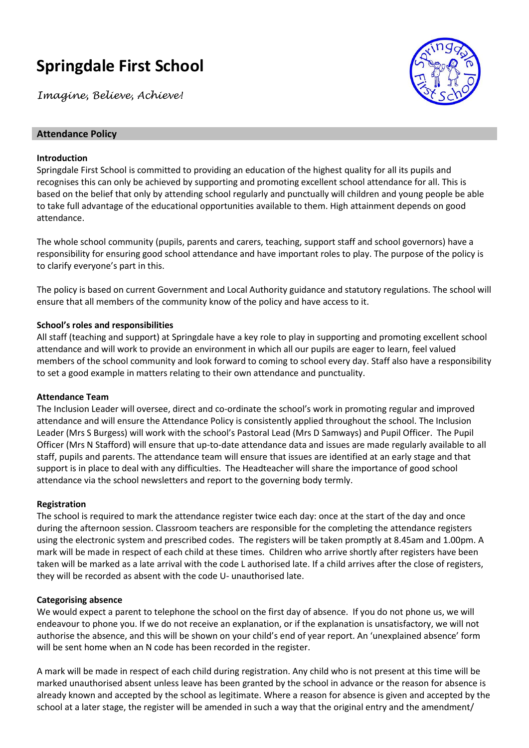# **Springdale First School**

*Imagine, Believe, Achieve!*



#### **Attendance Policy**

#### **Introduction**

Springdale First School is committed to providing an education of the highest quality for all its pupils and recognises this can only be achieved by supporting and promoting excellent school attendance for all. This is based on the belief that only by attending school regularly and punctually will children and young people be able to take full advantage of the educational opportunities available to them. High attainment depends on good attendance.

The whole school community (pupils, parents and carers, teaching, support staff and school governors) have a responsibility for ensuring good school attendance and have important roles to play. The purpose of the policy is to clarify everyone's part in this.

The policy is based on current Government and Local Authority guidance and statutory regulations. The school will ensure that all members of the community know of the policy and have access to it.

#### **School's roles and responsibilities**

All staff (teaching and support) at Springdale have a key role to play in supporting and promoting excellent school attendance and will work to provide an environment in which all our pupils are eager to learn, feel valued members of the school community and look forward to coming to school every day. Staff also have a responsibility to set a good example in matters relating to their own attendance and punctuality.

#### **Attendance Team**

The Inclusion Leader will oversee, direct and co-ordinate the school's work in promoting regular and improved attendance and will ensure the Attendance Policy is consistently applied throughout the school. The Inclusion Leader (Mrs S Burgess) will work with the school's Pastoral Lead (Mrs D Samways) and Pupil Officer. The Pupil Officer (Mrs N Stafford) will ensure that up-to-date attendance data and issues are made regularly available to all staff, pupils and parents. The attendance team will ensure that issues are identified at an early stage and that support is in place to deal with any difficulties. The Headteacher will share the importance of good school attendance via the school newsletters and report to the governing body termly.

#### **Registration**

The school is required to mark the attendance register twice each day: once at the start of the day and once during the afternoon session. Classroom teachers are responsible for the completing the attendance registers using the electronic system and prescribed codes. The registers will be taken promptly at 8.45am and 1.00pm. A mark will be made in respect of each child at these times. Children who arrive shortly after registers have been taken will be marked as a late arrival with the code L authorised late. If a child arrives after the close of registers, they will be recorded as absent with the code U- unauthorised late.

#### **Categorising absence**

We would expect a parent to telephone the school on the first day of absence. If you do not phone us, we will endeavour to phone you. If we do not receive an explanation, or if the explanation is unsatisfactory, we will not authorise the absence, and this will be shown on your child's end of year report. An 'unexplained absence' form will be sent home when an N code has been recorded in the register.

A mark will be made in respect of each child during registration. Any child who is not present at this time will be marked unauthorised absent unless leave has been granted by the school in advance or the reason for absence is already known and accepted by the school as legitimate. Where a reason for absence is given and accepted by the school at a later stage, the register will be amended in such a way that the original entry and the amendment/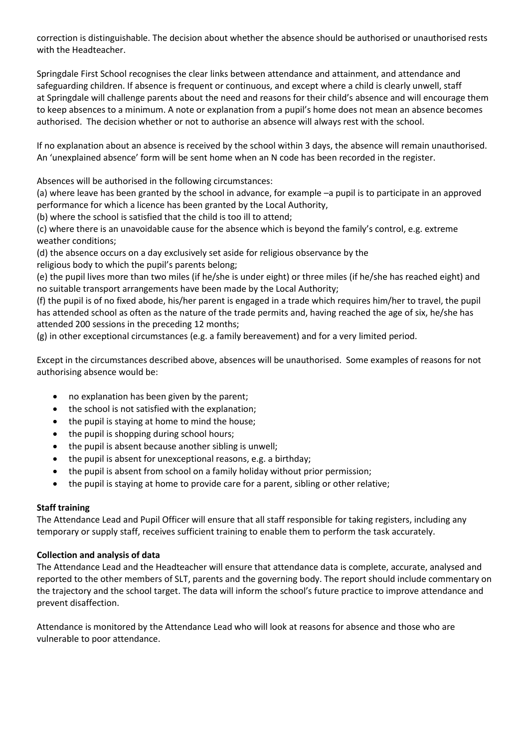correction is distinguishable. The decision about whether the absence should be authorised or unauthorised rests with the Headteacher.

Springdale First School recognises the clear links between attendance and attainment, and attendance and safeguarding children. If absence is frequent or continuous, and except where a child is clearly unwell, staff at Springdale will challenge parents about the need and reasons for their child's absence and will encourage them to keep absences to a minimum. A note or explanation from a pupil's home does not mean an absence becomes authorised. The decision whether or not to authorise an absence will always rest with the school.

If no explanation about an absence is received by the school within 3 days, the absence will remain unauthorised. An 'unexplained absence' form will be sent home when an N code has been recorded in the register.

Absences will be authorised in the following circumstances:

(a) where leave has been granted by the school in advance, for example –a pupil is to participate in an approved performance for which a licence has been granted by the Local Authority,

(b) where the school is satisfied that the child is too ill to attend;

(c) where there is an unavoidable cause for the absence which is beyond the family's control, e.g. extreme weather conditions;

(d) the absence occurs on a day exclusively set aside for religious observance by the

religious body to which the pupil's parents belong;

(e) the pupil lives more than two miles (if he/she is under eight) or three miles (if he/she has reached eight) and no suitable transport arrangements have been made by the Local Authority;

(f) the pupil is of no fixed abode, his/her parent is engaged in a trade which requires him/her to travel, the pupil has attended school as often as the nature of the trade permits and, having reached the age of six, he/she has attended 200 sessions in the preceding 12 months;

(g) in other exceptional circumstances (e.g. a family bereavement) and for a very limited period.

Except in the circumstances described above, absences will be unauthorised. Some examples of reasons for not authorising absence would be:

- no explanation has been given by the parent;
- the school is not satisfied with the explanation;
- the pupil is staying at home to mind the house;
- the pupil is shopping during school hours;
- the pupil is absent because another sibling is unwell;
- the pupil is absent for unexceptional reasons, e.g. a birthday;
- the pupil is absent from school on a family holiday without prior permission;
- the pupil is staying at home to provide care for a parent, sibling or other relative;

# **Staff training**

The Attendance Lead and Pupil Officer will ensure that all staff responsible for taking registers, including any temporary or supply staff, receives sufficient training to enable them to perform the task accurately.

# **Collection and analysis of data**

The Attendance Lead and the Headteacher will ensure that attendance data is complete, accurate, analysed and reported to the other members of SLT, parents and the governing body. The report should include commentary on the trajectory and the school target. The data will inform the school's future practice to improve attendance and prevent disaffection.

Attendance is monitored by the Attendance Lead who will look at reasons for absence and those who are vulnerable to poor attendance.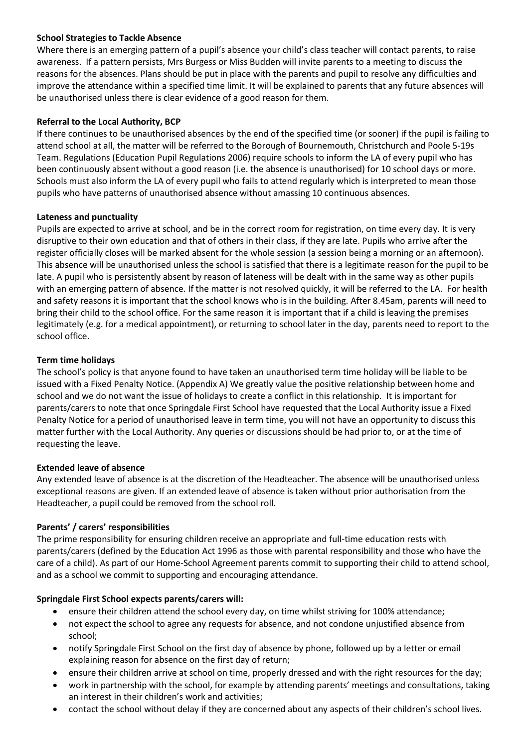#### **School Strategies to Tackle Absence**

Where there is an emerging pattern of a pupil's absence your child's class teacher will contact parents, to raise awareness. If a pattern persists, Mrs Burgess or Miss Budden will invite parents to a meeting to discuss the reasons for the absences. Plans should be put in place with the parents and pupil to resolve any difficulties and improve the attendance within a specified time limit. It will be explained to parents that any future absences will be unauthorised unless there is clear evidence of a good reason for them.

# **Referral to the Local Authority, BCP**

If there continues to be unauthorised absences by the end of the specified time (or sooner) if the pupil is failing to attend school at all, the matter will be referred to the Borough of Bournemouth, Christchurch and Poole 5-19s Team. Regulations (Education Pupil Regulations 2006) require schools to inform the LA of every pupil who has been continuously absent without a good reason (i.e. the absence is unauthorised) for 10 school days or more. Schools must also inform the LA of every pupil who fails to attend regularly which is interpreted to mean those pupils who have patterns of unauthorised absence without amassing 10 continuous absences.

#### **Lateness and punctuality**

Pupils are expected to arrive at school, and be in the correct room for registration, on time every day. It is very disruptive to their own education and that of others in their class, if they are late. Pupils who arrive after the register officially closes will be marked absent for the whole session (a session being a morning or an afternoon). This absence will be unauthorised unless the school is satisfied that there is a legitimate reason for the pupil to be late. A pupil who is persistently absent by reason of lateness will be dealt with in the same way as other pupils with an emerging pattern of absence. If the matter is not resolved quickly, it will be referred to the LA. For health and safety reasons it is important that the school knows who is in the building. After 8.45am, parents will need to bring their child to the school office. For the same reason it is important that if a child is leaving the premises legitimately (e.g. for a medical appointment), or returning to school later in the day, parents need to report to the school office.

#### **Term time holidays**

The school's policy is that anyone found to have taken an unauthorised term time holiday will be liable to be issued with a Fixed Penalty Notice. (Appendix A) We greatly value the positive relationship between home and school and we do not want the issue of holidays to create a conflict in this relationship. It is important for parents/carers to note that once Springdale First School have requested that the Local Authority issue a Fixed Penalty Notice for a period of unauthorised leave in term time, you will not have an opportunity to discuss this matter further with the Local Authority. Any queries or discussions should be had prior to, or at the time of requesting the leave.

# **Extended leave of absence**

Any extended leave of absence is at the discretion of the Headteacher. The absence will be unauthorised unless exceptional reasons are given. If an extended leave of absence is taken without prior authorisation from the Headteacher, a pupil could be removed from the school roll.

# **Parents' / carers' responsibilities**

The prime responsibility for ensuring children receive an appropriate and full-time education rests with parents/carers (defined by the Education Act 1996 as those with parental responsibility and those who have the care of a child). As part of our Home-School Agreement parents commit to supporting their child to attend school, and as a school we commit to supporting and encouraging attendance.

# **Springdale First School expects parents/carers will:**

- ensure their children attend the school every day, on time whilst striving for 100% attendance;
- not expect the school to agree any requests for absence, and not condone unjustified absence from school;
- notify Springdale First School on the first day of absence by phone, followed up by a letter or email explaining reason for absence on the first day of return;
- ensure their children arrive at school on time, properly dressed and with the right resources for the day;
- work in partnership with the school, for example by attending parents' meetings and consultations, taking an interest in their children's work and activities;
- contact the school without delay if they are concerned about any aspects of their children's school lives.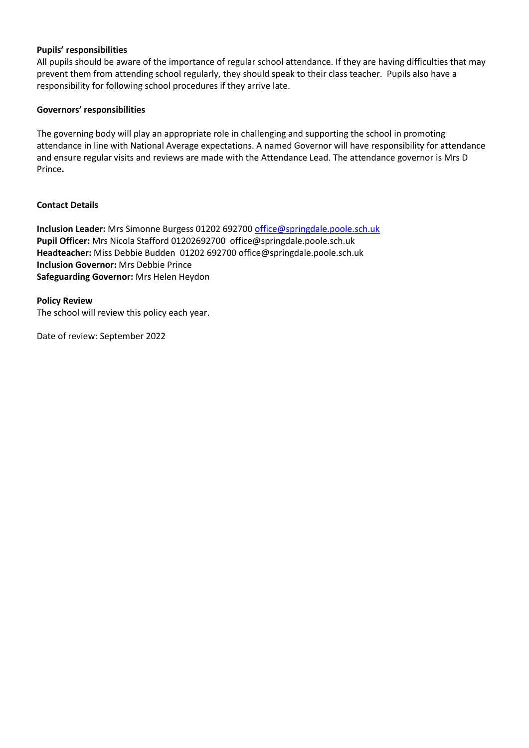#### **Pupils' responsibilities**

All pupils should be aware of the importance of regular school attendance. If they are having difficulties that may prevent them from attending school regularly, they should speak to their class teacher. Pupils also have a responsibility for following school procedures if they arrive late.

#### **Governors' responsibilities**

The governing body will play an appropriate role in challenging and supporting the school in promoting attendance in line with National Average expectations. A named Governor will have responsibility for attendance and ensure regular visits and reviews are made with the Attendance Lead. The attendance governor is Mrs D Prince**.** 

#### **Contact Details**

**Inclusion Leader:** Mrs Simonne Burgess 01202 69270[0 office@springdale.poole.sch.uk](mailto:office@springdale.poole.sch.uk) **Pupil Officer:** Mrs Nicola Stafford 01202692700 office@springdale.poole.sch.uk **Headteacher:** Miss Debbie Budden 01202 692700 office@springdale.poole.sch.uk **Inclusion Governor:** Mrs Debbie Prince **Safeguarding Governor:** Mrs Helen Heydon

**Policy Review** The school will review this policy each year.

Date of review: September 2022